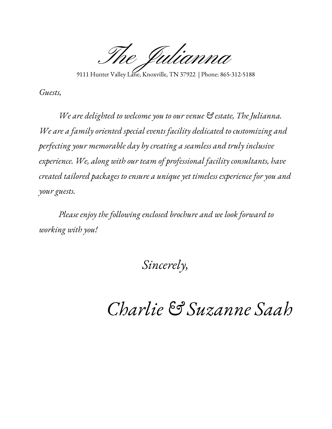The Julianna

9111 Hunter Valley Lane, Knoxville, TN 37922 | Phone: 865-312-5188

*Guests,*

*We are delighted to welcome you to our venue & estate, The Julianna. We are a family oriented special events facility dedicated to customizing and perfecting your memorable day by creating a seamless and truly inclusive experience. We, along with our team of professional facility consultants, have created tailored packages to ensure a unique yet timeless experience for you and your guests.*

*Please enjoy the following enclosed brochure and we look forward to working with you!*

#### *Sincerely,*

# *Charlie & Suzanne Saah*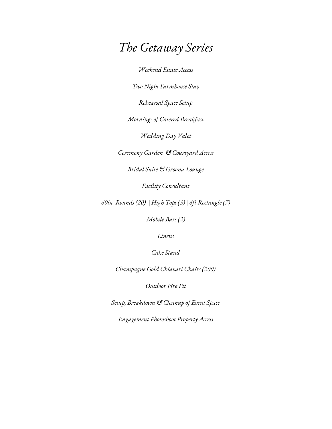## *The Getaway Series*

*Weekend Estate Access*

*Two Night Farmhouse Stay*

*Rehearsal Space Setup*

*Morning- of Catered Breakfast*

*Wedding Day Valet*

*Ceremony Garden & Courtyard Access*

*Bridal Suite & Grooms Lounge*

*Facility Consultant*

*60in Rounds (20) | High Tops (5) | 6ft Rectangle (7)*

*Mobile Bars (2)*

*Linens*

*Cake Stand*

*Champagne Gold Chiavari Chairs (200)*

*Outdoor Fire Pit*

*Setup, Breakdown & Cleanup of Event Space*

*Engagement Photoshoot Property Access*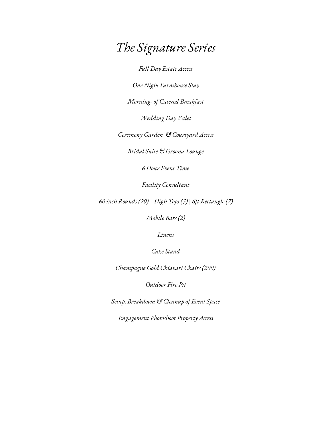#### *The Signature Series*

*Full Day Estate Access*

*One Night Farmhouse Stay*

*Morning- of Catered Breakfast*

*Wedding Day Valet*

*Ceremony Garden & Courtyard Access*

*Bridal Suite & Grooms Lounge*

*6 Hour Event Time*

*Facility Consultant*

*60 inch Rounds (20) | High Tops (5) | 6ft Rectangle (7)*

*Mobile Bars (2)*

*Linens*

*Cake Stand*

*Champagne Gold Chiavari Chairs (200)*

*Outdoor Fire Pit*

*Setup, Breakdown & Cleanup of Event Space*

*Engagement Photoshoot Property Access*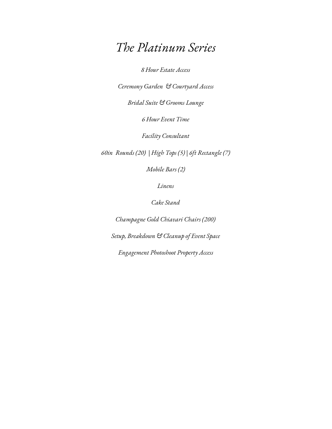#### *The Platinum Series*

*8 Hour Estate Access*

*Ceremony Garden & Courtyard Access*

*Bridal Suite & Grooms Lounge*

*6 Hour Event Time*

*Facility Consultant*

*60in Rounds (20) | High Tops (5) | 6ft Rectangle (7)*

*Mobile Bars (2)*

*Linens*

*Cake Stand*

*Champagne Gold Chiavari Chairs (200) Setup, Breakdown & Cleanup of Event Space Engagement Photoshoot Property Access*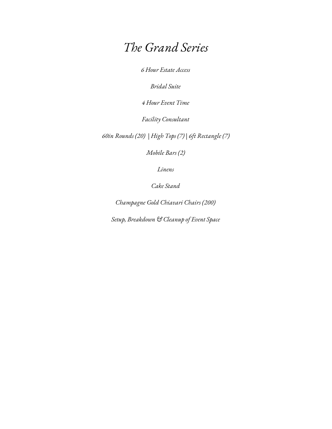#### *The Grand Series*

*6 Hour Estate Access*

*Bridal Suite*

*4 Hour Event Time*

*Facility Consultant*

*60in Rounds (20) | High Tops (7) | 6ft Rectangle (7)*

*Mobile Bars (2)*

*Linens*

*Cake Stand*

*Champagne Gold Chiavari Chairs (200)*

*Setup, Breakdown & Cleanup of Event Space*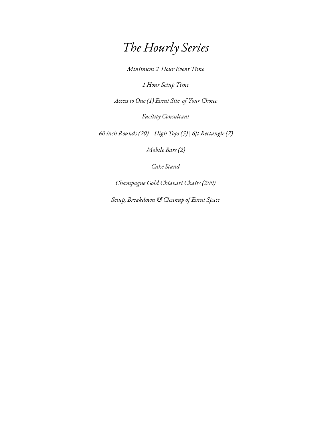# *The Hourly Series*

*Minimum 2 Hour Event Time*

*1 Hour Setup Time*

*Access to One (1) Event Site of Your Choice*

*Facility Consultant*

*60 inch Rounds (20) | High Tops (5) | 6ft Rectangle (7)*

*Mobile Bars (2)*

*Cake Stand*

*Champagne Gold Chiavari Chairs (200)*

*Setup, Breakdown & Cleanup of Event Space*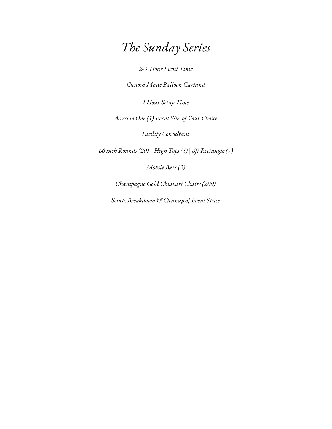# *The Sunday Series*

*2-3 Hour Event Time*

*Custom Made Balloon Garland*

*1 Hour Setup Time*

*Access to One (1) Event Site of Your Choice*

*Facility Consultant*

*60 inch Rounds (20) | High Tops (5) | 6ft Rectangle (7)*

*Mobile Bars (2)*

*Champagne Gold Chiavari Chairs (200)*

*Setup, Breakdown & Cleanup of Event Space*